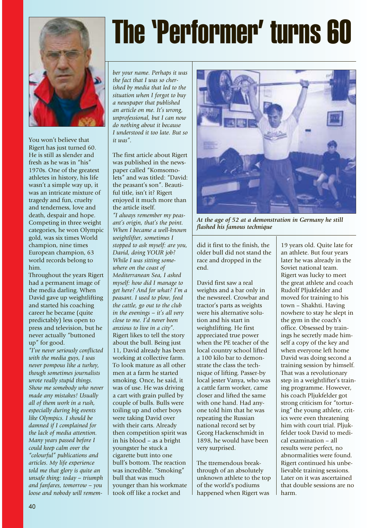

You won't believe that Rigert has just turned 60. He is still as slender and fresh as he was in "his" 1970s. One of the greatest athletes in history, his life wasn't a simple way up, it was an intricate mixture of tragedy and fun, cruelty and tenderness, love and death, despair and hope. Competing in three weight categories, he won Olympic gold, was six times World champion, nine times European champion, 63 world records belong to him.

Throughout the years Rigert had a permanent image of the media darling. When David gave up weightlifting and started his coaching career he became (quite predictably) less open to press and television, but he never actually "buttoned up" for good.

*"I've never seriously conflicted with the media guys, I was never pompous like a turkey, though sometimes journalists wrote really stupid things. Show me somebody who never made any mistakes! Usually all of them work in a rush, especially during big events like Olympics. I should be damned if I complained for the lack of media attention. Many years passed before I could keep calm over the "colourful" publications and articles. My life experience told me that glory is quite an unsafe thing: today – triumph and fanfares, tomorrow – you loose and nobody will remem-*

## The 'Performer' turns 60

*ber your name. Perhaps it was the fact that I was so cherished by media that led to the situation when I forgot to buy a newspaper that published an article on me. It's wrong, unprofessional, but I can now do nothing about it because I understood it too late. But so it was".*

The first article about Rigert was published in the newspaper called "Komsomolets" and was titled: "David: the peasant's son". Beautiful title, isn't it? Rigert enjoyed it much more than the article itself. *"I always remember my peasant's origin, that's the point. When I became a well-known weightlifter, sometimes I stopped to ask myself: are you, David, doing YOUR job? While I was sitting somewhere on the coast of Mediterranean Sea, I asked myself: how did I manage to get here? And for what? I'm a peasant. I used to plow, feed the cattle, go out to the club in the evenings – it's all very close to me. I'd never been anxious to live in a city".* Rigert likes to tell the story about the bull. Being just 11, David already has been working at collective farm. To look mature as all other men at a farm he started smoking. Once, he said, it was of use. He was driving a cart with grain pulled by couple of bulls. Bulls were toiling up and other boys were taking David over with their carts. Already then competition spirit was in his blood – as a bright youngster he stuck a cigarette butt into one bull's bottom. The reaction was incredible. "Smoking" bull that was much younger than his workmate took off like a rocket and



*At the age of 52 at a demonstration in Germany he still flashed his famous technique*

did it first to the finish, the older bull did not stand the race and dropped in the end.

David first saw a real weights and a bar only in the newsreel. Crowbar and tractor's parts as weights were his alternative solution and his start in weightlifting. He first appreciated true power when the PE teacher of the local country school lifted a 100 kilo bar to demonstrate the class the technique of lifting. Passer-by local jester Vanya, who was a cattle farm worker, came closer and lifted the same with one hand. Had anyone told him that he was repeating the Russian national record set by Georg Hackenschmidt in 1898, he would have been very surprised.

The ttremendous breakthrough of an absolutely unknown athlete to the top of the world's podiums happened when Rigert was

19 years old. Quite late for an athlete. But four years later he was already in the Soviet national team. Rigert was lucky to meet the great athlete and coach Rudolf Pljukfelder and moved for training to his town – Shakhti. Having nowhere to stay he slept in the gym in the coach's office. Obsessed by trainings he secretly made himself a copy of the key and when everyone left home David was doing second a training session by himself. That was a revolutionary step in a weightlifter's training programme. However, his coach Pljukfelder got strong criticism for "torturing" the young athlete, critics were even threatening him with court trial. Pljukfelder took David to medical examination – all results were perfect, no abnormalities were found. Rigert continued his unbelievable training sessions. Later on it was ascertained that double sessions are no harm.